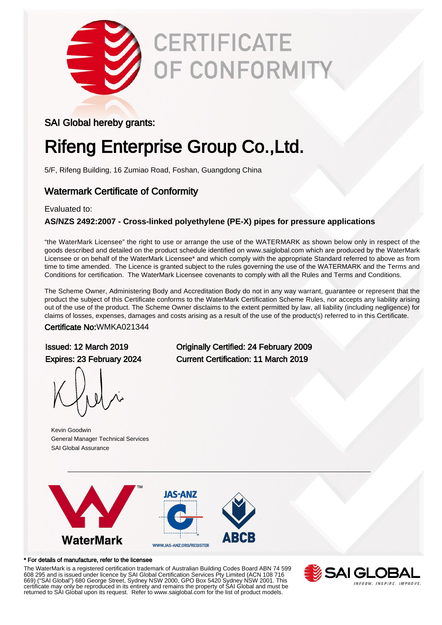

# **CERTIFICATE** OF CONFORMITY

### SAI Global hereby grants:

## Rifeng Enterprise Group Co.,Ltd.

5/F, Rifeng Building, 16 Zumiao Road, Foshan, Guangdong China

### Watermark Certificate of Conformity

#### Evaluated to:

#### **AS/NZS 2492:2007 - Cross-linked polyethylene (PE-X) pipes for pressure applications**

"the WaterMark Licensee" the right to use or arrange the use of the WATERMARK as shown below only in respect of the goods described and detailed on the product schedule identified on www.saiglobal.com which are produced by the WaterMark Licensee or on behalf of the WaterMark Licensee\* and which comply with the appropriate Standard referred to above as from time to time amended. The Licence is granted subject to the rules governing the use of the WATERMARK and the Terms and Conditions for certification. The WaterMark Licensee covenants to comply with all the Rules and Terms and Conditions.

The Scheme Owner, Administering Body and Accreditation Body do not in any way warrant, guarantee or represent that the product the subject of this Certificate conforms to the WaterMark Certification Scheme Rules, nor accepts any liability arising out of the use of the product. The Scheme Owner disclaims to the extent permitted by law, all liability (including negligence) for claims of losses, expenses, damages and costs arising as a result of the use of the product(s) referred to in this Certificate.

Certificate No:WMKA021344

Kevin Goodwin General Manager Technical Services SAI Global Assurance

Issued: 12 March 2019 Originally Certified: 24 February 2009 Expires: 23 February 2024 Current Certification: 11 March 2019



#### \* For details of manufacture, refer to the licensee

The WaterMark is a registered certification trademark of Australian Building Codes Board ABN 74 599 608 295 and is issued under licence by SAI Global Certification Services Pty Limited (ACN 108 716 669) ("SAI Global") 680 George Street, Sydney NSW 2000, GPO Box 5420 Sydney NSW 2001. This certificate may only be reproduced in its entirety and remains the property of SAI Global and must be returned to SAI Global upon its request. Refer to www.saiglobal.com for the list of product models.